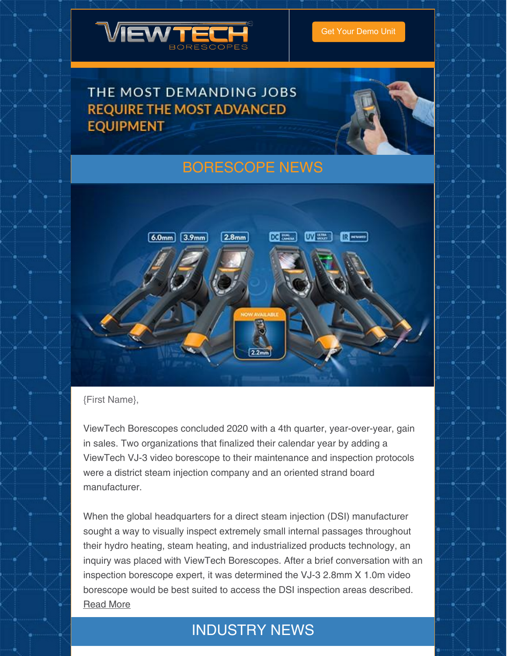

### THE MOST DEMANDING JOBS **REQUIRE THE MOST ADVANCED EQUIPMENT**



## [BORESCOPE](https://www.viewtech.com/news/?utm_source=newsletter&utm_medium=email&utm_campaign=newsletter0121) NEWS



#### {First Name},

ViewTech Borescopes concluded 2020 with a 4th quarter, year-over-year, gain in sales. Two organizations that finalized their calendar year by adding a ViewTech VJ-3 video borescope to their maintenance and inspection protocols were a district steam injection company and an oriented strand board manufacturer.

When the global headquarters for a direct steam injection (DSI) manufacturer sought a way to visually inspect extremely small internal passages throughout their hydro heating, steam heating, and industrialized products technology, an inquiry was placed with ViewTech Borescopes. After a brief conversation with an inspection borescope expert, it was determined the VJ-3 2.8mm X 1.0m video borescope would be best suited to access the DSI inspection areas described. [Read](https://www.viewtech.com/viewtech-borescopes-reports-strong-2020-4th-quarter/?utm_source=newsletter&utm_medium=email&utm_campaign=newsletter0121) More

### INDUSTRY NEWS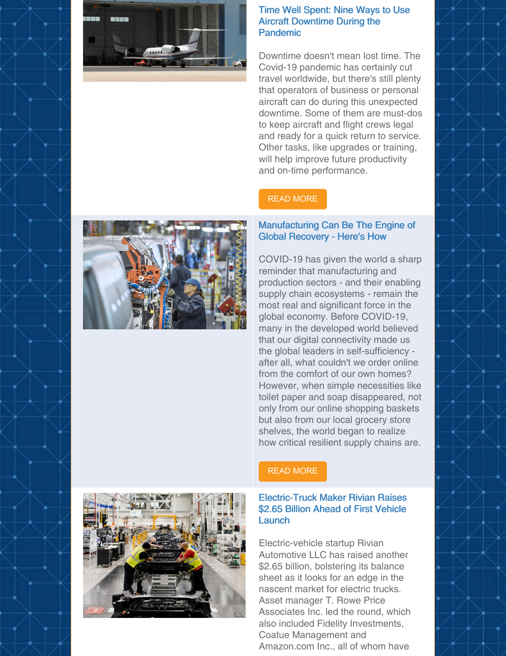

#### Time Well Spent: Nine Ways to Use Aircraft Downtime During the Pandemic

Downtime doesn't mean lost time. The Covid-19 pandemic has certainly cut travel worldwide, but there's still plenty that operators of business or personal aircraft can do during this unexpected downtime. Some of them are must-dos to keep aircraft and flight crews legal and ready for a quick return to service. Other tasks, like upgrades or training, will help improve future productivity and on-time performance.

#### READ [MORE](https://aerospace.honeywell.com/en/learn/about-us/blogs/2020/04/time-well-spent-aircraft-downtime?fbclid=IwAR3G_Gl-jtxJ_zZFHHmqj9GDcf5HKGSOp-ubIaAa4YpI7G3S0c5Lk1xABLk&sf135997547=1)

#### Manufacturing Can Be The Engine of Global Recovery - Here's How

COVID-19 has given the world a sharp reminder that manufacturing and production sectors - and their enabling supply chain ecosystems - remain the most real and significant force in the global economy. Before COVID-19, many in the developed world believed that our digital connectivity made us the global leaders in self-sufficiency after all, what couldn't we order online from the comfort of our own homes? However, when simple necessities like toilet paper and soap disappeared, not only from our online shopping baskets but also from our local grocery store shelves, the world began to realize how critical resilient supply chains are.



#### READ [MORE](https://www.forbes.com/sites/worldeconomicforum/2021/01/14/manufacturing-can-be-the-engine-of-global-recovery--heres-how/?sh=3d0e8e89664f)

#### Electric-Truck Maker Rivian Raises \$2.65 Billion Ahead of First Vehicle Launch

Electric-vehicle startup Rivian Automotive LLC has raised another \$2.65 billion, bolstering its balance sheet as it looks for an edge in the nascent market for electric trucks. Asset manager T. Rowe Price Associates Inc. led the round, which also included Fidelity Investments, Coatue Management and Amazon.com Inc., all of whom have